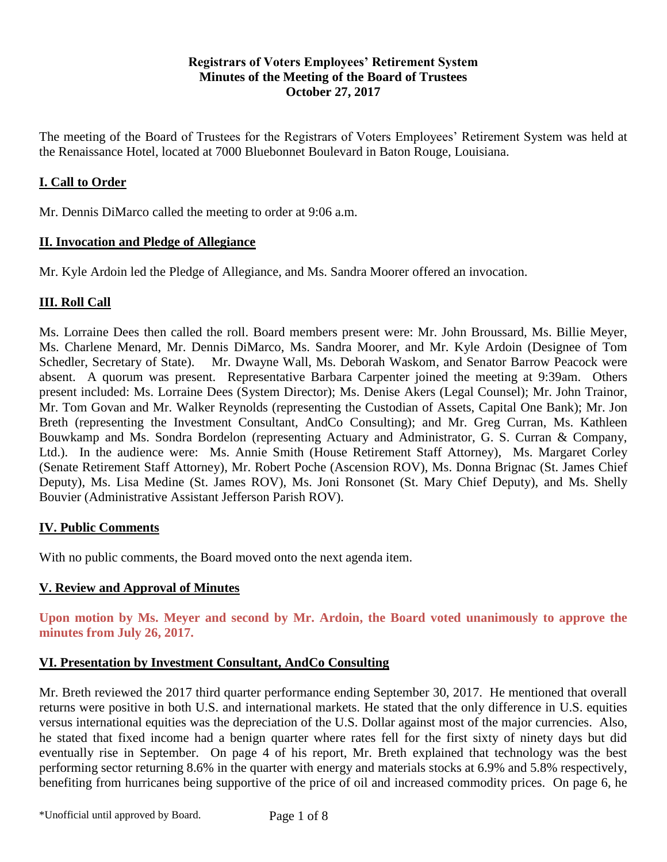## **Registrars of Voters Employees' Retirement System Minutes of the Meeting of the Board of Trustees October 27, 2017**

The meeting of the Board of Trustees for the Registrars of Voters Employees' Retirement System was held at the Renaissance Hotel, located at 7000 Bluebonnet Boulevard in Baton Rouge, Louisiana.

# **I. Call to Order**

Mr. Dennis DiMarco called the meeting to order at 9:06 a.m.

## **II. Invocation and Pledge of Allegiance**

Mr. Kyle Ardoin led the Pledge of Allegiance, and Ms. Sandra Moorer offered an invocation.

## **III. Roll Call**

Ms. Lorraine Dees then called the roll. Board members present were: Mr. John Broussard, Ms. Billie Meyer, Ms. Charlene Menard, Mr. Dennis DiMarco, Ms. Sandra Moorer, and Mr. Kyle Ardoin (Designee of Tom Schedler, Secretary of State). Mr. Dwayne Wall, Ms. Deborah Waskom, and Senator Barrow Peacock were absent. A quorum was present. Representative Barbara Carpenter joined the meeting at 9:39am. Others present included: Ms. Lorraine Dees (System Director); Ms. Denise Akers (Legal Counsel); Mr. John Trainor, Mr. Tom Govan and Mr. Walker Reynolds (representing the Custodian of Assets, Capital One Bank); Mr. Jon Breth (representing the Investment Consultant, AndCo Consulting); and Mr. Greg Curran, Ms. Kathleen Bouwkamp and Ms. Sondra Bordelon (representing Actuary and Administrator, G. S. Curran & Company, Ltd.). In the audience were: Ms. Annie Smith (House Retirement Staff Attorney), Ms. Margaret Corley (Senate Retirement Staff Attorney), Mr. Robert Poche (Ascension ROV), Ms. Donna Brignac (St. James Chief Deputy), Ms. Lisa Medine (St. James ROV), Ms. Joni Ronsonet (St. Mary Chief Deputy), and Ms. Shelly Bouvier (Administrative Assistant Jefferson Parish ROV).

## **IV. Public Comments**

With no public comments, the Board moved onto the next agenda item.

## **V. Review and Approval of Minutes**

**Upon motion by Ms. Meyer and second by Mr. Ardoin, the Board voted unanimously to approve the minutes from July 26, 2017.** 

## **VI. Presentation by Investment Consultant, AndCo Consulting**

Mr. Breth reviewed the 2017 third quarter performance ending September 30, 2017. He mentioned that overall returns were positive in both U.S. and international markets. He stated that the only difference in U.S. equities versus international equities was the depreciation of the U.S. Dollar against most of the major currencies. Also, he stated that fixed income had a benign quarter where rates fell for the first sixty of ninety days but did eventually rise in September. On page 4 of his report, Mr. Breth explained that technology was the best performing sector returning 8.6% in the quarter with energy and materials stocks at 6.9% and 5.8% respectively, benefiting from hurricanes being supportive of the price of oil and increased commodity prices. On page 6, he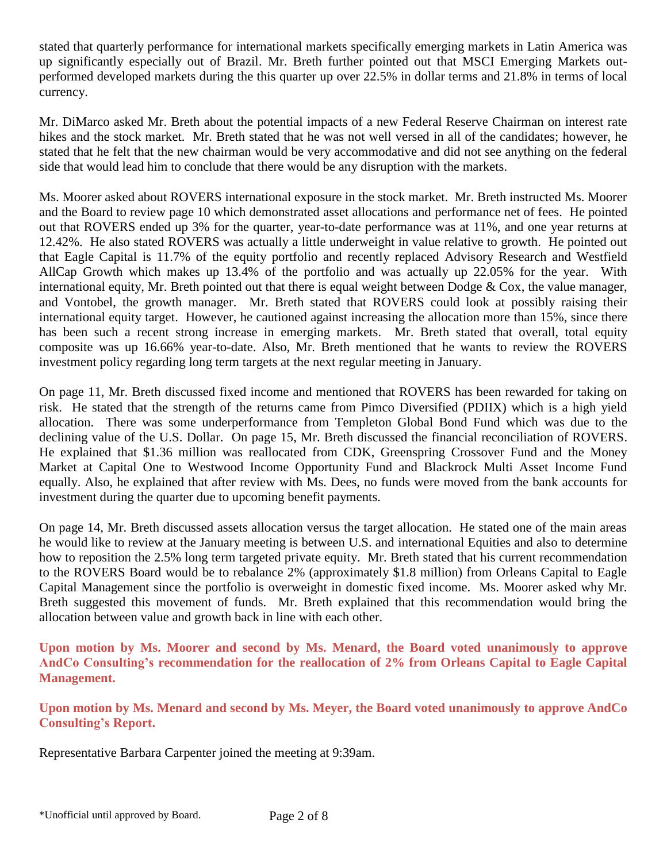stated that quarterly performance for international markets specifically emerging markets in Latin America was up significantly especially out of Brazil. Mr. Breth further pointed out that MSCI Emerging Markets outperformed developed markets during the this quarter up over 22.5% in dollar terms and 21.8% in terms of local currency.

Mr. DiMarco asked Mr. Breth about the potential impacts of a new Federal Reserve Chairman on interest rate hikes and the stock market. Mr. Breth stated that he was not well versed in all of the candidates; however, he stated that he felt that the new chairman would be very accommodative and did not see anything on the federal side that would lead him to conclude that there would be any disruption with the markets.

Ms. Moorer asked about ROVERS international exposure in the stock market. Mr. Breth instructed Ms. Moorer and the Board to review page 10 which demonstrated asset allocations and performance net of fees. He pointed out that ROVERS ended up 3% for the quarter, year-to-date performance was at 11%, and one year returns at 12.42%. He also stated ROVERS was actually a little underweight in value relative to growth. He pointed out that Eagle Capital is 11.7% of the equity portfolio and recently replaced Advisory Research and Westfield AllCap Growth which makes up 13.4% of the portfolio and was actually up 22.05% for the year. With international equity, Mr. Breth pointed out that there is equal weight between Dodge  $\&$  Cox, the value manager, and Vontobel, the growth manager. Mr. Breth stated that ROVERS could look at possibly raising their international equity target. However, he cautioned against increasing the allocation more than 15%, since there has been such a recent strong increase in emerging markets. Mr. Breth stated that overall, total equity composite was up 16.66% year-to-date. Also, Mr. Breth mentioned that he wants to review the ROVERS investment policy regarding long term targets at the next regular meeting in January.

On page 11, Mr. Breth discussed fixed income and mentioned that ROVERS has been rewarded for taking on risk. He stated that the strength of the returns came from Pimco Diversified (PDIIX) which is a high yield allocation. There was some underperformance from Templeton Global Bond Fund which was due to the declining value of the U.S. Dollar. On page 15, Mr. Breth discussed the financial reconciliation of ROVERS. He explained that \$1.36 million was reallocated from CDK, Greenspring Crossover Fund and the Money Market at Capital One to Westwood Income Opportunity Fund and Blackrock Multi Asset Income Fund equally. Also, he explained that after review with Ms. Dees, no funds were moved from the bank accounts for investment during the quarter due to upcoming benefit payments.

On page 14, Mr. Breth discussed assets allocation versus the target allocation. He stated one of the main areas he would like to review at the January meeting is between U.S. and international Equities and also to determine how to reposition the 2.5% long term targeted private equity. Mr. Breth stated that his current recommendation to the ROVERS Board would be to rebalance 2% (approximately \$1.8 million) from Orleans Capital to Eagle Capital Management since the portfolio is overweight in domestic fixed income. Ms. Moorer asked why Mr. Breth suggested this movement of funds. Mr. Breth explained that this recommendation would bring the allocation between value and growth back in line with each other.

**Upon motion by Ms. Moorer and second by Ms. Menard, the Board voted unanimously to approve AndCo Consulting's recommendation for the reallocation of 2% from Orleans Capital to Eagle Capital Management.**

**Upon motion by Ms. Menard and second by Ms. Meyer, the Board voted unanimously to approve AndCo Consulting's Report.**

Representative Barbara Carpenter joined the meeting at 9:39am.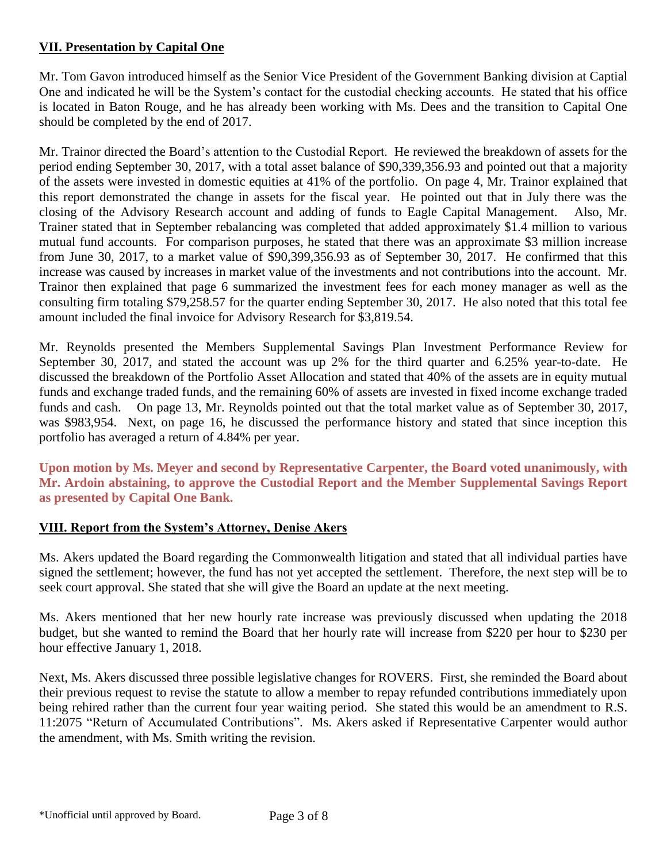## **VII. Presentation by Capital One**

Mr. Tom Gavon introduced himself as the Senior Vice President of the Government Banking division at Captial One and indicated he will be the System's contact for the custodial checking accounts. He stated that his office is located in Baton Rouge, and he has already been working with Ms. Dees and the transition to Capital One should be completed by the end of 2017.

Mr. Trainor directed the Board's attention to the Custodial Report. He reviewed the breakdown of assets for the period ending September 30, 2017, with a total asset balance of \$90,339,356.93 and pointed out that a majority of the assets were invested in domestic equities at 41% of the portfolio. On page 4, Mr. Trainor explained that this report demonstrated the change in assets for the fiscal year. He pointed out that in July there was the closing of the Advisory Research account and adding of funds to Eagle Capital Management. Also, Mr. Trainer stated that in September rebalancing was completed that added approximately \$1.4 million to various mutual fund accounts. For comparison purposes, he stated that there was an approximate \$3 million increase from June 30, 2017, to a market value of \$90,399,356.93 as of September 30, 2017. He confirmed that this increase was caused by increases in market value of the investments and not contributions into the account. Mr. Trainor then explained that page 6 summarized the investment fees for each money manager as well as the consulting firm totaling \$79,258.57 for the quarter ending September 30, 2017. He also noted that this total fee amount included the final invoice for Advisory Research for \$3,819.54.

Mr. Reynolds presented the Members Supplemental Savings Plan Investment Performance Review for September 30, 2017, and stated the account was up 2% for the third quarter and 6.25% year-to-date. He discussed the breakdown of the Portfolio Asset Allocation and stated that 40% of the assets are in equity mutual funds and exchange traded funds, and the remaining 60% of assets are invested in fixed income exchange traded funds and cash. On page 13, Mr. Reynolds pointed out that the total market value as of September 30, 2017, was \$983,954. Next, on page 16, he discussed the performance history and stated that since inception this portfolio has averaged a return of 4.84% per year.

**Upon motion by Ms. Meyer and second by Representative Carpenter, the Board voted unanimously, with Mr. Ardoin abstaining, to approve the Custodial Report and the Member Supplemental Savings Report as presented by Capital One Bank.**

## **VIII. Report from the System's Attorney, Denise Akers**

Ms. Akers updated the Board regarding the Commonwealth litigation and stated that all individual parties have signed the settlement; however, the fund has not yet accepted the settlement. Therefore, the next step will be to seek court approval. She stated that she will give the Board an update at the next meeting.

Ms. Akers mentioned that her new hourly rate increase was previously discussed when updating the 2018 budget, but she wanted to remind the Board that her hourly rate will increase from \$220 per hour to \$230 per hour effective January 1, 2018.

Next, Ms. Akers discussed three possible legislative changes for ROVERS. First, she reminded the Board about their previous request to revise the statute to allow a member to repay refunded contributions immediately upon being rehired rather than the current four year waiting period. She stated this would be an amendment to R.S. 11:2075 "Return of Accumulated Contributions". Ms. Akers asked if Representative Carpenter would author the amendment, with Ms. Smith writing the revision.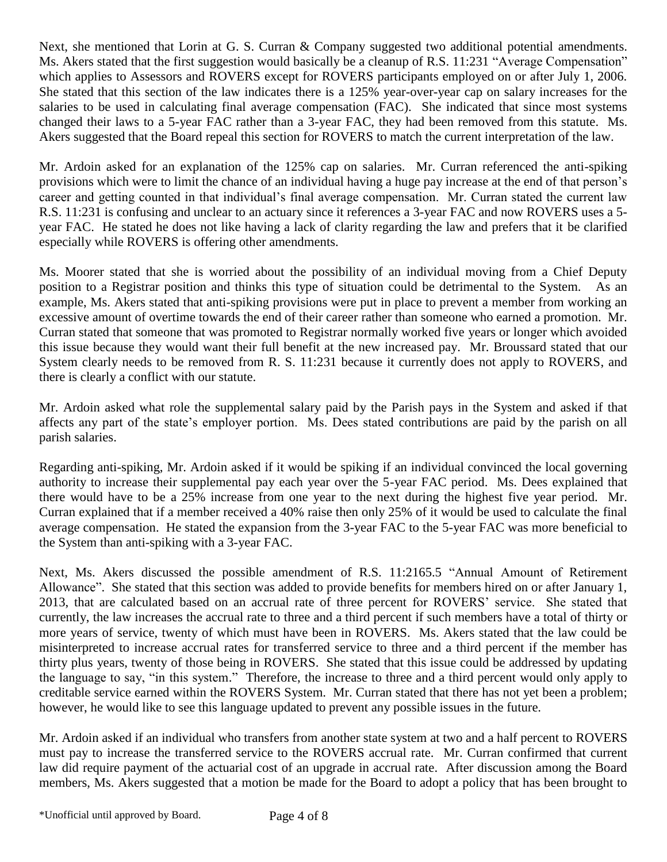Next, she mentioned that Lorin at G. S. Curran & Company suggested two additional potential amendments. Ms. Akers stated that the first suggestion would basically be a cleanup of R.S. 11:231 "Average Compensation" which applies to Assessors and ROVERS except for ROVERS participants employed on or after July 1, 2006. She stated that this section of the law indicates there is a 125% year-over-year cap on salary increases for the salaries to be used in calculating final average compensation (FAC). She indicated that since most systems changed their laws to a 5-year FAC rather than a 3-year FAC, they had been removed from this statute. Ms. Akers suggested that the Board repeal this section for ROVERS to match the current interpretation of the law.

Mr. Ardoin asked for an explanation of the 125% cap on salaries. Mr. Curran referenced the anti-spiking provisions which were to limit the chance of an individual having a huge pay increase at the end of that person's career and getting counted in that individual's final average compensation. Mr. Curran stated the current law R.S. 11:231 is confusing and unclear to an actuary since it references a 3-year FAC and now ROVERS uses a 5 year FAC. He stated he does not like having a lack of clarity regarding the law and prefers that it be clarified especially while ROVERS is offering other amendments.

Ms. Moorer stated that she is worried about the possibility of an individual moving from a Chief Deputy position to a Registrar position and thinks this type of situation could be detrimental to the System. As an example, Ms. Akers stated that anti-spiking provisions were put in place to prevent a member from working an excessive amount of overtime towards the end of their career rather than someone who earned a promotion. Mr. Curran stated that someone that was promoted to Registrar normally worked five years or longer which avoided this issue because they would want their full benefit at the new increased pay. Mr. Broussard stated that our System clearly needs to be removed from R. S. 11:231 because it currently does not apply to ROVERS, and there is clearly a conflict with our statute.

Mr. Ardoin asked what role the supplemental salary paid by the Parish pays in the System and asked if that affects any part of the state's employer portion. Ms. Dees stated contributions are paid by the parish on all parish salaries.

Regarding anti-spiking, Mr. Ardoin asked if it would be spiking if an individual convinced the local governing authority to increase their supplemental pay each year over the 5-year FAC period. Ms. Dees explained that there would have to be a 25% increase from one year to the next during the highest five year period. Mr. Curran explained that if a member received a 40% raise then only 25% of it would be used to calculate the final average compensation. He stated the expansion from the 3-year FAC to the 5-year FAC was more beneficial to the System than anti-spiking with a 3-year FAC.

Next, Ms. Akers discussed the possible amendment of R.S. 11:2165.5 "Annual Amount of Retirement Allowance". She stated that this section was added to provide benefits for members hired on or after January 1, 2013, that are calculated based on an accrual rate of three percent for ROVERS' service. She stated that currently, the law increases the accrual rate to three and a third percent if such members have a total of thirty or more years of service, twenty of which must have been in ROVERS. Ms. Akers stated that the law could be misinterpreted to increase accrual rates for transferred service to three and a third percent if the member has thirty plus years, twenty of those being in ROVERS. She stated that this issue could be addressed by updating the language to say, "in this system." Therefore, the increase to three and a third percent would only apply to creditable service earned within the ROVERS System. Mr. Curran stated that there has not yet been a problem; however, he would like to see this language updated to prevent any possible issues in the future.

Mr. Ardoin asked if an individual who transfers from another state system at two and a half percent to ROVERS must pay to increase the transferred service to the ROVERS accrual rate. Mr. Curran confirmed that current law did require payment of the actuarial cost of an upgrade in accrual rate. After discussion among the Board members, Ms. Akers suggested that a motion be made for the Board to adopt a policy that has been brought to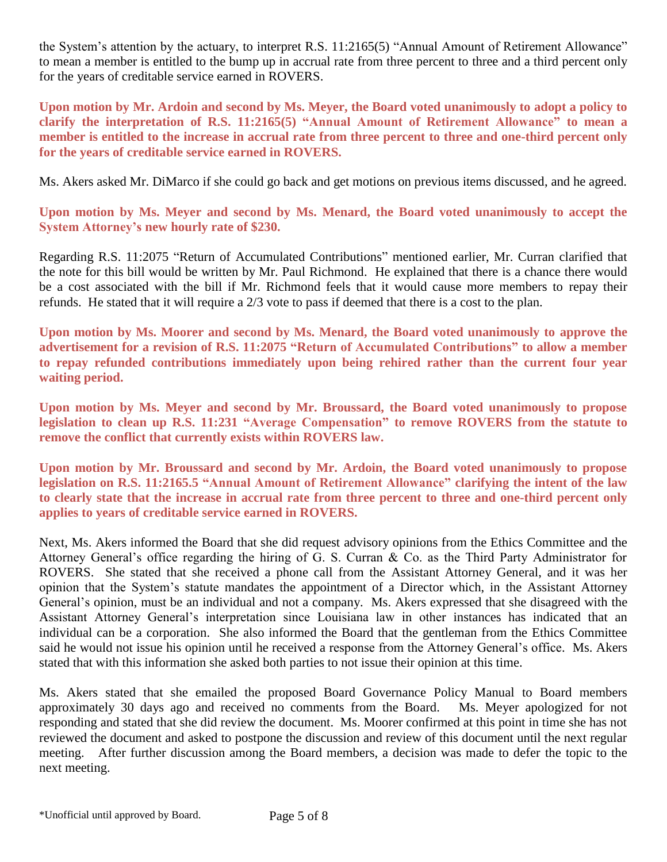the System's attention by the actuary, to interpret R.S. 11:2165(5) "Annual Amount of Retirement Allowance" to mean a member is entitled to the bump up in accrual rate from three percent to three and a third percent only for the years of creditable service earned in ROVERS.

**Upon motion by Mr. Ardoin and second by Ms. Meyer, the Board voted unanimously to adopt a policy to clarify the interpretation of R.S. 11:2165(5) "Annual Amount of Retirement Allowance" to mean a member is entitled to the increase in accrual rate from three percent to three and one-third percent only for the years of creditable service earned in ROVERS.**

Ms. Akers asked Mr. DiMarco if she could go back and get motions on previous items discussed, and he agreed.

**Upon motion by Ms. Meyer and second by Ms. Menard, the Board voted unanimously to accept the System Attorney's new hourly rate of \$230.**

Regarding R.S. 11:2075 "Return of Accumulated Contributions" mentioned earlier, Mr. Curran clarified that the note for this bill would be written by Mr. Paul Richmond. He explained that there is a chance there would be a cost associated with the bill if Mr. Richmond feels that it would cause more members to repay their refunds. He stated that it will require a 2/3 vote to pass if deemed that there is a cost to the plan.

**Upon motion by Ms. Moorer and second by Ms. Menard, the Board voted unanimously to approve the advertisement for a revision of R.S. 11:2075 "Return of Accumulated Contributions" to allow a member to repay refunded contributions immediately upon being rehired rather than the current four year waiting period.** 

**Upon motion by Ms. Meyer and second by Mr. Broussard, the Board voted unanimously to propose legislation to clean up R.S. 11:231 "Average Compensation" to remove ROVERS from the statute to remove the conflict that currently exists within ROVERS law.** 

**Upon motion by Mr. Broussard and second by Mr. Ardoin, the Board voted unanimously to propose legislation on R.S. 11:2165.5 "Annual Amount of Retirement Allowance" clarifying the intent of the law to clearly state that the increase in accrual rate from three percent to three and one-third percent only applies to years of creditable service earned in ROVERS.**

Next, Ms. Akers informed the Board that she did request advisory opinions from the Ethics Committee and the Attorney General's office regarding the hiring of G. S. Curran & Co. as the Third Party Administrator for ROVERS. She stated that she received a phone call from the Assistant Attorney General, and it was her opinion that the System's statute mandates the appointment of a Director which, in the Assistant Attorney General's opinion, must be an individual and not a company. Ms. Akers expressed that she disagreed with the Assistant Attorney General's interpretation since Louisiana law in other instances has indicated that an individual can be a corporation. She also informed the Board that the gentleman from the Ethics Committee said he would not issue his opinion until he received a response from the Attorney General's office. Ms. Akers stated that with this information she asked both parties to not issue their opinion at this time.

Ms. Akers stated that she emailed the proposed Board Governance Policy Manual to Board members approximately 30 days ago and received no comments from the Board. Ms. Meyer apologized for not responding and stated that she did review the document. Ms. Moorer confirmed at this point in time she has not reviewed the document and asked to postpone the discussion and review of this document until the next regular meeting. After further discussion among the Board members, a decision was made to defer the topic to the next meeting.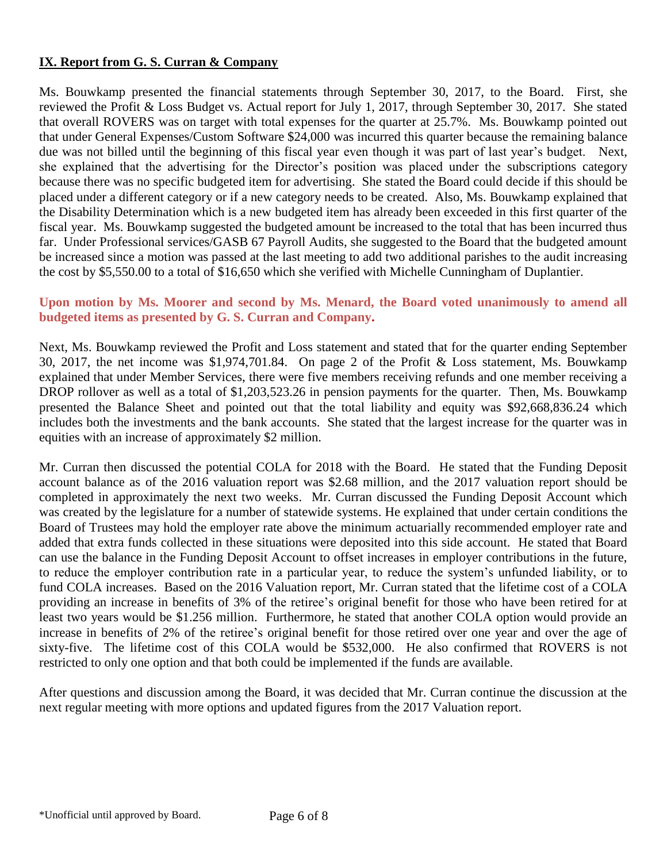## **IX. Report from G. S. Curran & Company**

Ms. Bouwkamp presented the financial statements through September 30, 2017, to the Board. First, she reviewed the Profit & Loss Budget vs. Actual report for July 1, 2017, through September 30, 2017. She stated that overall ROVERS was on target with total expenses for the quarter at 25.7%. Ms. Bouwkamp pointed out that under General Expenses/Custom Software \$24,000 was incurred this quarter because the remaining balance due was not billed until the beginning of this fiscal year even though it was part of last year's budget. Next, she explained that the advertising for the Director's position was placed under the subscriptions category because there was no specific budgeted item for advertising. She stated the Board could decide if this should be placed under a different category or if a new category needs to be created. Also, Ms. Bouwkamp explained that the Disability Determination which is a new budgeted item has already been exceeded in this first quarter of the fiscal year. Ms. Bouwkamp suggested the budgeted amount be increased to the total that has been incurred thus far. Under Professional services/GASB 67 Payroll Audits, she suggested to the Board that the budgeted amount be increased since a motion was passed at the last meeting to add two additional parishes to the audit increasing the cost by \$5,550.00 to a total of \$16,650 which she verified with Michelle Cunningham of Duplantier.

### **Upon motion by Ms. Moorer and second by Ms. Menard, the Board voted unanimously to amend all budgeted items as presented by G. S. Curran and Company.**

Next, Ms. Bouwkamp reviewed the Profit and Loss statement and stated that for the quarter ending September 30, 2017, the net income was \$1,974,701.84. On page 2 of the Profit & Loss statement, Ms. Bouwkamp explained that under Member Services, there were five members receiving refunds and one member receiving a DROP rollover as well as a total of \$1,203,523.26 in pension payments for the quarter. Then, Ms. Bouwkamp presented the Balance Sheet and pointed out that the total liability and equity was \$92,668,836.24 which includes both the investments and the bank accounts. She stated that the largest increase for the quarter was in equities with an increase of approximately \$2 million.

Mr. Curran then discussed the potential COLA for 2018 with the Board. He stated that the Funding Deposit account balance as of the 2016 valuation report was \$2.68 million, and the 2017 valuation report should be completed in approximately the next two weeks. Mr. Curran discussed the Funding Deposit Account which was created by the legislature for a number of statewide systems. He explained that under certain conditions the Board of Trustees may hold the employer rate above the minimum actuarially recommended employer rate and added that extra funds collected in these situations were deposited into this side account. He stated that Board can use the balance in the Funding Deposit Account to offset increases in employer contributions in the future, to reduce the employer contribution rate in a particular year, to reduce the system's unfunded liability, or to fund COLA increases. Based on the 2016 Valuation report, Mr. Curran stated that the lifetime cost of a COLA providing an increase in benefits of 3% of the retiree's original benefit for those who have been retired for at least two years would be \$1.256 million. Furthermore, he stated that another COLA option would provide an increase in benefits of 2% of the retiree's original benefit for those retired over one year and over the age of sixty-five. The lifetime cost of this COLA would be \$532,000. He also confirmed that ROVERS is not restricted to only one option and that both could be implemented if the funds are available.

After questions and discussion among the Board, it was decided that Mr. Curran continue the discussion at the next regular meeting with more options and updated figures from the 2017 Valuation report.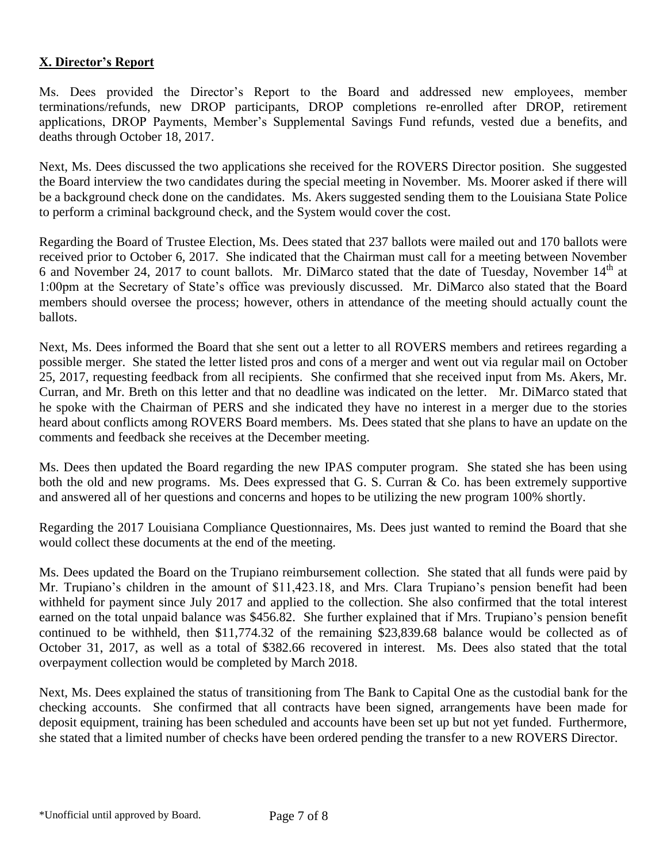## **X. Director's Report**

Ms. Dees provided the Director's Report to the Board and addressed new employees, member terminations/refunds, new DROP participants, DROP completions re-enrolled after DROP, retirement applications, DROP Payments, Member's Supplemental Savings Fund refunds, vested due a benefits, and deaths through October 18, 2017.

Next, Ms. Dees discussed the two applications she received for the ROVERS Director position. She suggested the Board interview the two candidates during the special meeting in November. Ms. Moorer asked if there will be a background check done on the candidates. Ms. Akers suggested sending them to the Louisiana State Police to perform a criminal background check, and the System would cover the cost.

Regarding the Board of Trustee Election, Ms. Dees stated that 237 ballots were mailed out and 170 ballots were received prior to October 6, 2017. She indicated that the Chairman must call for a meeting between November 6 and November 24, 2017 to count ballots. Mr. DiMarco stated that the date of Tuesday, November  $14<sup>th</sup>$  at 1:00pm at the Secretary of State's office was previously discussed. Mr. DiMarco also stated that the Board members should oversee the process; however, others in attendance of the meeting should actually count the ballots.

Next, Ms. Dees informed the Board that she sent out a letter to all ROVERS members and retirees regarding a possible merger. She stated the letter listed pros and cons of a merger and went out via regular mail on October 25, 2017, requesting feedback from all recipients. She confirmed that she received input from Ms. Akers, Mr. Curran, and Mr. Breth on this letter and that no deadline was indicated on the letter. Mr. DiMarco stated that he spoke with the Chairman of PERS and she indicated they have no interest in a merger due to the stories heard about conflicts among ROVERS Board members. Ms. Dees stated that she plans to have an update on the comments and feedback she receives at the December meeting.

Ms. Dees then updated the Board regarding the new IPAS computer program. She stated she has been using both the old and new programs. Ms. Dees expressed that G. S. Curran & Co. has been extremely supportive and answered all of her questions and concerns and hopes to be utilizing the new program 100% shortly.

Regarding the 2017 Louisiana Compliance Questionnaires, Ms. Dees just wanted to remind the Board that she would collect these documents at the end of the meeting.

Ms. Dees updated the Board on the Trupiano reimbursement collection. She stated that all funds were paid by Mr. Trupiano's children in the amount of \$11,423.18, and Mrs. Clara Trupiano's pension benefit had been withheld for payment since July 2017 and applied to the collection. She also confirmed that the total interest earned on the total unpaid balance was \$456.82. She further explained that if Mrs. Trupiano's pension benefit continued to be withheld, then \$11,774.32 of the remaining \$23,839.68 balance would be collected as of October 31, 2017, as well as a total of \$382.66 recovered in interest. Ms. Dees also stated that the total overpayment collection would be completed by March 2018.

Next, Ms. Dees explained the status of transitioning from The Bank to Capital One as the custodial bank for the checking accounts. She confirmed that all contracts have been signed, arrangements have been made for deposit equipment, training has been scheduled and accounts have been set up but not yet funded. Furthermore, she stated that a limited number of checks have been ordered pending the transfer to a new ROVERS Director.